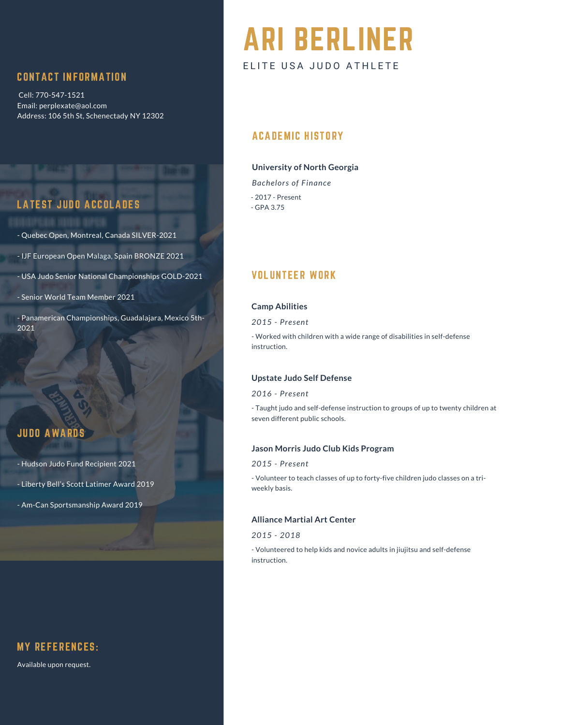# CONTACT INFORMATION

Cell: 770-547-1521 Email: perplexate@aol.com Address: 106 5th St, Schenectady NY 12302

# LATEST JUDO ACCOLADES

- Quebec Open, Montreal, Canada SILVER-2021

- IJF European Open Malaga, Spain BRONZE 2021

- USA Judo Senior National Championships GOLD-2021

- Senior World Team Member 2021

- Panamerican Championships, Guadalajara, Mexico 5th-2021

# JUDO AWARDS

- Hudson Judo Fund Recipient 2021

- Liberty Bell's Scott Latimer Award 2019
- Am-Can Sportsmanship Award 2019

# MY REFERENCES:

Available upon request.

# ARI BERLINER ELITE USA JUDO ATHLETE

## ACADEMIC HISTORY

## **University of North Georgia**

*Bachelors of Finance* - 2017 - Present - GPA 3.75

# VOLUNTEER WORK

#### **Camp Abilities**

*2015 - Present*

- Worked with children with a wide range of disabilities in self-defense instruction.

## **Upstate Judo Self Defense**

#### *2016 - Present*

- Taught judo and self-defense instruction to groups of up to twenty children at seven different public schools.

## **Jason Morris Judo Club Kids Program**

#### *2015 - Present*

- Volunteer to teach classes of up to forty-five children judo classes on a triweekly basis.

#### **Alliance Martial Art Center**

#### *2015 - 2018*

- Volunteered to help kids and novice adults in jiujitsu and self-defense instruction.